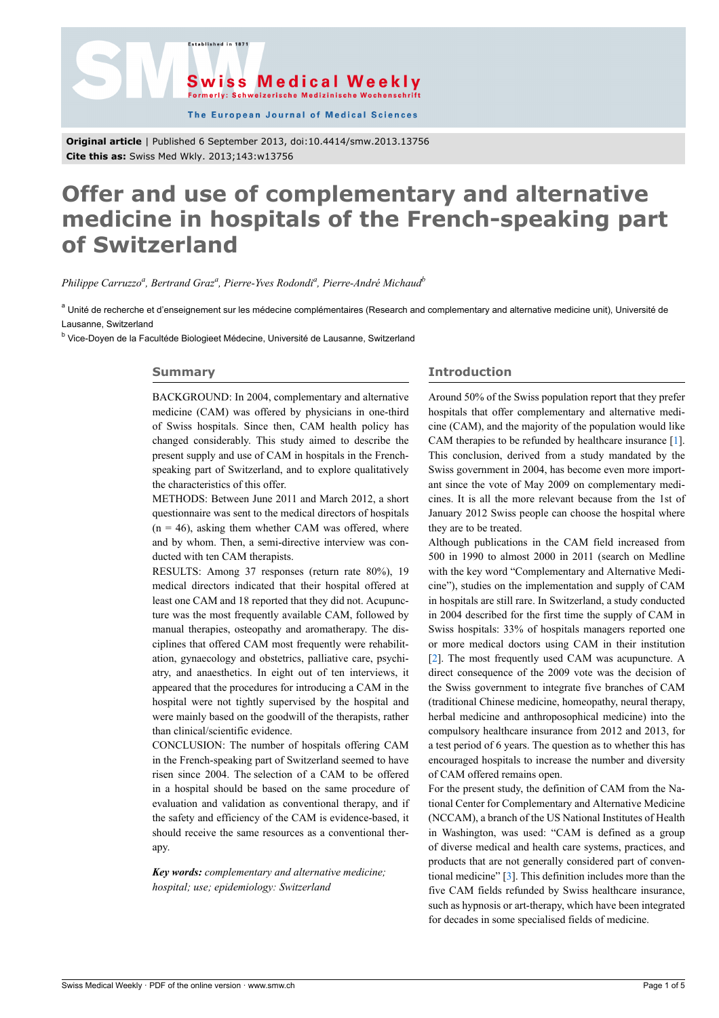



The European Journal of Medical Sciences

**Original article** | Published 6 September 2013, doi:10.4414/smw.2013.13756 **Cite this as:** Swiss Med Wkly. 2013;143:w13756

# **Offer and use of complementary and alternative medicine in hospitals of the French-speaking part of Switzerland**

*Philippe Carruzzo<sup>a</sup> , Bertrand Graz<sup>a</sup> , Pierre-Yves Rodondi<sup>a</sup> , Pierre-André Michaud<sup>b</sup>*

<sup>a</sup> Unité de recherche et d'enseignement sur les médecine complémentaires (Research and complementary and alternative medicine unit), Université de Lausanne, Switzerland

<sup>b</sup> Vice-Doyen de la Facultéde Biologieet Médecine, Université de Lausanne, Switzerland

## **Summary**

BACKGROUND: In 2004, complementary and alternative medicine (CAM) was offered by physicians in one-third of Swiss hospitals. Since then, CAM health policy has changed considerably. This study aimed to describe the present supply and use of CAM in hospitals in the Frenchspeaking part of Switzerland, and to explore qualitatively the characteristics of this offer.

METHODS: Between June 2011 and March 2012, a short questionnaire was sent to the medical directors of hospitals  $(n = 46)$ , asking them whether CAM was offered, where and by whom. Then, a semi-directive interview was conducted with ten CAM therapists.

RESULTS: Among 37 responses (return rate 80%), 19 medical directors indicated that their hospital offered at least one CAM and 18 reported that they did not. Acupuncture was the most frequently available CAM, followed by manual therapies, osteopathy and aromatherapy. The disciplines that offered CAM most frequently were rehabilitation, gynaecology and obstetrics, palliative care, psychiatry, and anaesthetics. In eight out of ten interviews, it appeared that the procedures for introducing a CAM in the hospital were not tightly supervised by the hospital and were mainly based on the goodwill of the therapists, rather than clinical/scientific evidence.

CONCLUSION: The number of hospitals offering CAM in the French-speaking part of Switzerland seemed to have risen since 2004. The selection of a CAM to be offered in a hospital should be based on the same procedure of evaluation and validation as conventional therapy, and if the safety and efficiency of the CAM is evidence-based, it should receive the same resources as a conventional therapy.

*Key words: complementary and alternative medicine; hospital; use; epidemiology: Switzerland*

# **Introduction**

Around 50% of the Swiss population report that they prefer hospitals that offer complementary and alternative medicine (CAM), and the majority of the population would like CAM therapies to be refunded by healthcare insurance [\[1\]](#page-4-0). This conclusion, derived from a study mandated by the Swiss government in 2004, has become even more important since the vote of May 2009 on complementary medicines. It is all the more relevant because from the 1st of January 2012 Swiss people can choose the hospital where they are to be treated.

Although publications in the CAM field increased from 500 in 1990 to almost 2000 in 2011 (search on Medline with the key word "Complementary and Alternative Medicine"), studies on the implementation and supply of CAM in hospitals are still rare. In Switzerland, a study conducted in 2004 described for the first time the supply of CAM in Swiss hospitals: 33% of hospitals managers reported one or more medical doctors using CAM in their institution [[2](#page-4-1)]. The most frequently used CAM was acupuncture. A direct consequence of the 2009 vote was the decision of the Swiss government to integrate five branches of CAM (traditional Chinese medicine, homeopathy, neural therapy, herbal medicine and anthroposophical medicine) into the compulsory healthcare insurance from 2012 and 2013, for a test period of 6 years. The question as to whether this has encouraged hospitals to increase the number and diversity of CAM offered remains open.

For the present study, the definition of CAM from the National Center for Complementary and Alternative Medicine (NCCAM), a branch of the US National Institutes of Health in Washington, was used: "CAM is defined as a group of diverse medical and health care systems, practices, and products that are not generally considered part of conventional medicine" [\[3\]](#page-4-2). This definition includes more than the five CAM fields refunded by Swiss healthcare insurance, such as hypnosis or art-therapy, which have been integrated for decades in some specialised fields of medicine.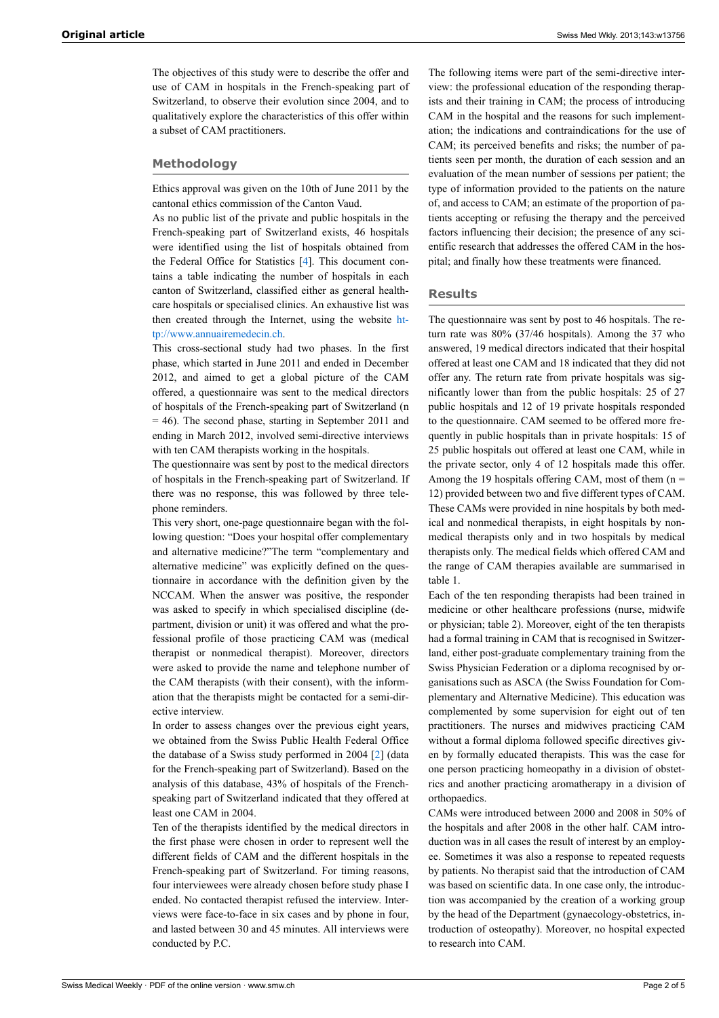The objectives of this study were to describe the offer and use of CAM in hospitals in the French-speaking part of Switzerland, to observe their evolution since 2004, and to qualitatively explore the characteristics of this offer within a subset of CAM practitioners.

# **Methodology**

Ethics approval was given on the 10th of June 2011 by the cantonal ethics commission of the Canton Vaud.

As no public list of the private and public hospitals in the French-speaking part of Switzerland exists, 46 hospitals were identified using the list of hospitals obtained from the Federal Office for Statistics [[4](#page-4-3)]. This document contains a table indicating the number of hospitals in each canton of Switzerland, classified either as general healthcare hospitals or specialised clinics. An exhaustive list was then created through the Internet, using the website [ht](http://www.annuairemedecin.ch)[tp://www.annuairemedecin.ch.](http://www.annuairemedecin.ch)

This cross-sectional study had two phases. In the first phase, which started in June 2011 and ended in December 2012, and aimed to get a global picture of the CAM offered, a questionnaire was sent to the medical directors of hospitals of the French-speaking part of Switzerland (n = 46). The second phase, starting in September 2011 and ending in March 2012, involved semi-directive interviews with ten CAM therapists working in the hospitals.

The questionnaire was sent by post to the medical directors of hospitals in the French-speaking part of Switzerland. If there was no response, this was followed by three telephone reminders.

This very short, one-page questionnaire began with the following question: "Does your hospital offer complementary and alternative medicine?"The term "complementary and alternative medicine" was explicitly defined on the questionnaire in accordance with the definition given by the NCCAM. When the answer was positive, the responder was asked to specify in which specialised discipline (department, division or unit) it was offered and what the professional profile of those practicing CAM was (medical therapist or nonmedical therapist). Moreover, directors were asked to provide the name and telephone number of the CAM therapists (with their consent), with the information that the therapists might be contacted for a semi-directive interview.

In order to assess changes over the previous eight years, we obtained from the Swiss Public Health Federal Office the database of a Swiss study performed in 2004 [\[2\]](#page-4-1) (data for the French-speaking part of Switzerland). Based on the analysis of this database, 43% of hospitals of the Frenchspeaking part of Switzerland indicated that they offered at least one CAM in 2004.

Ten of the therapists identified by the medical directors in the first phase were chosen in order to represent well the different fields of CAM and the different hospitals in the French-speaking part of Switzerland. For timing reasons, four interviewees were already chosen before study phase I ended. No contacted therapist refused the interview. Interviews were face-to-face in six cases and by phone in four, and lasted between 30 and 45 minutes. All interviews were conducted by P.C.

The following items were part of the semi-directive interview: the professional education of the responding therapists and their training in CAM; the process of introducing CAM in the hospital and the reasons for such implementation; the indications and contraindications for the use of CAM; its perceived benefits and risks; the number of patients seen per month, the duration of each session and an evaluation of the mean number of sessions per patient; the type of information provided to the patients on the nature of, and access to CAM; an estimate of the proportion of patients accepting or refusing the therapy and the perceived factors influencing their decision; the presence of any scientific research that addresses the offered CAM in the hospital; and finally how these treatments were financed.

#### **Results**

The questionnaire was sent by post to 46 hospitals. The return rate was 80% (37/46 hospitals). Among the 37 who answered, 19 medical directors indicated that their hospital offered at least one CAM and 18 indicated that they did not offer any. The return rate from private hospitals was significantly lower than from the public hospitals: 25 of 27 public hospitals and 12 of 19 private hospitals responded to the questionnaire. CAM seemed to be offered more frequently in public hospitals than in private hospitals: 15 of 25 public hospitals out offered at least one CAM, while in the private sector, only 4 of 12 hospitals made this offer. Among the 19 hospitals offering CAM, most of them  $(n =$ 12) provided between two and five different types of CAM. These CAMs were provided in nine hospitals by both medical and nonmedical therapists, in eight hospitals by nonmedical therapists only and in two hospitals by medical therapists only. The medical fields which offered CAM and the range of CAM therapies available are summarised in table 1.

Each of the ten responding therapists had been trained in medicine or other healthcare professions (nurse, midwife or physician; table 2). Moreover, eight of the ten therapists had a formal training in CAM that is recognised in Switzerland, either post-graduate complementary training from the Swiss Physician Federation or a diploma recognised by organisations such as ASCA (the Swiss Foundation for Complementary and Alternative Medicine). This education was complemented by some supervision for eight out of ten practitioners. The nurses and midwives practicing CAM without a formal diploma followed specific directives given by formally educated therapists. This was the case for one person practicing homeopathy in a division of obstetrics and another practicing aromatherapy in a division of orthopaedics.

CAMs were introduced between 2000 and 2008 in 50% of the hospitals and after 2008 in the other half. CAM introduction was in all cases the result of interest by an employee. Sometimes it was also a response to repeated requests by patients. No therapist said that the introduction of CAM was based on scientific data. In one case only, the introduction was accompanied by the creation of a working group by the head of the Department (gynaecology-obstetrics, introduction of osteopathy). Moreover, no hospital expected to research into CAM.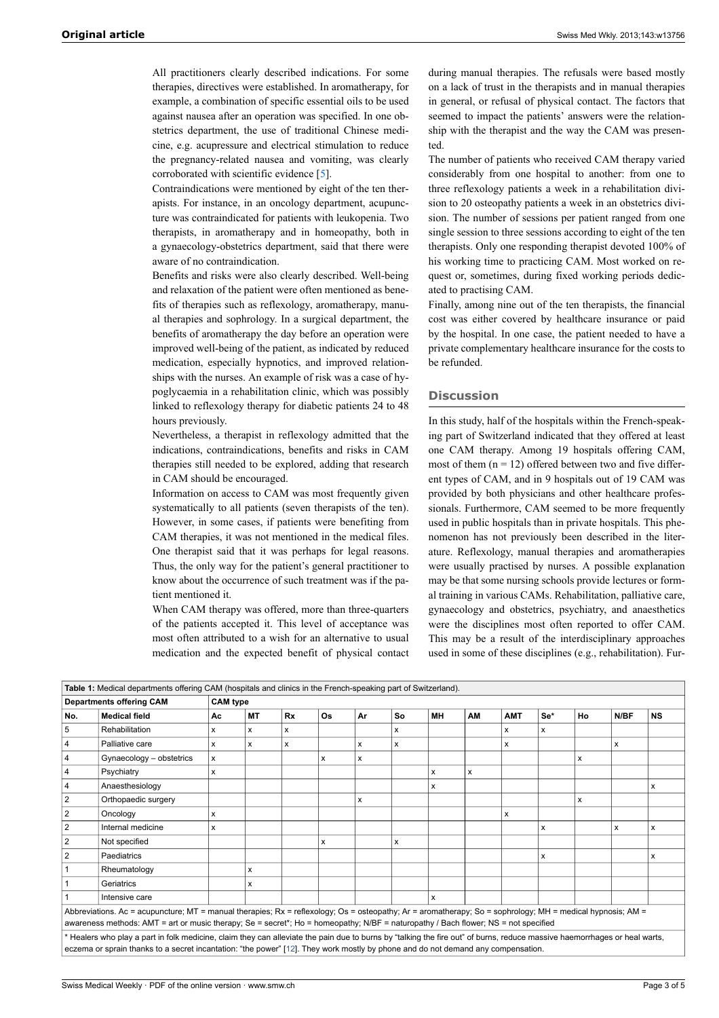All practitioners clearly described indications. For some therapies, directives were established. In aromatherapy, for example, a combination of specific essential oils to be used against nausea after an operation was specified. In one obstetrics department, the use of traditional Chinese medicine, e.g. acupressure and electrical stimulation to reduce the pregnancy-related nausea and vomiting, was clearly corroborated with scientific evidence [[5](#page-4-4)].

Contraindications were mentioned by eight of the ten therapists. For instance, in an oncology department, acupuncture was contraindicated for patients with leukopenia. Two therapists, in aromatherapy and in homeopathy, both in a gynaecology-obstetrics department, said that there were aware of no contraindication.

Benefits and risks were also clearly described. Well-being and relaxation of the patient were often mentioned as benefits of therapies such as reflexology, aromatherapy, manual therapies and sophrology. In a surgical department, the benefits of aromatherapy the day before an operation were improved well-being of the patient, as indicated by reduced medication, especially hypnotics, and improved relationships with the nurses. An example of risk was a case of hypoglycaemia in a rehabilitation clinic, which was possibly linked to reflexology therapy for diabetic patients 24 to 48 hours previously.

Nevertheless, a therapist in reflexology admitted that the indications, contraindications, benefits and risks in CAM therapies still needed to be explored, adding that research in CAM should be encouraged.

Information on access to CAM was most frequently given systematically to all patients (seven therapists of the ten). However, in some cases, if patients were benefiting from CAM therapies, it was not mentioned in the medical files. One therapist said that it was perhaps for legal reasons. Thus, the only way for the patient's general practitioner to know about the occurrence of such treatment was if the patient mentioned it.

When CAM therapy was offered, more than three-quarters of the patients accepted it. This level of acceptance was most often attributed to a wish for an alternative to usual medication and the expected benefit of physical contact

during manual therapies. The refusals were based mostly on a lack of trust in the therapists and in manual therapies in general, or refusal of physical contact. The factors that seemed to impact the patients' answers were the relationship with the therapist and the way the CAM was presented.

The number of patients who received CAM therapy varied considerably from one hospital to another: from one to three reflexology patients a week in a rehabilitation division to 20 osteopathy patients a week in an obstetrics division. The number of sessions per patient ranged from one single session to three sessions according to eight of the ten therapists. Only one responding therapist devoted 100% of his working time to practicing CAM. Most worked on request or, sometimes, during fixed working periods dedicated to practising CAM.

Finally, among nine out of the ten therapists, the financial cost was either covered by healthcare insurance or paid by the hospital. In one case, the patient needed to have a private complementary healthcare insurance for the costs to be refunded.

# **Discussion**

In this study, half of the hospitals within the French-speaking part of Switzerland indicated that they offered at least one CAM therapy. Among 19 hospitals offering CAM, most of them  $(n = 12)$  offered between two and five different types of CAM, and in 9 hospitals out of 19 CAM was provided by both physicians and other healthcare professionals. Furthermore, CAM seemed to be more frequently used in public hospitals than in private hospitals. This phenomenon has not previously been described in the literature. Reflexology, manual therapies and aromatherapies were usually practised by nurses. A possible explanation may be that some nursing schools provide lectures or formal training in various CAMs. Rehabilitation, palliative care, gynaecology and obstetrics, psychiatry, and anaesthetics were the disciplines most often reported to offer CAM. This may be a result of the interdisciplinary approaches used in some of these disciplines (e.g., rehabilitation). Fur-

| Table 1: Medical departments offering CAM (hospitals and clinics in the French-speaking part of Switzerland).                                                             |                                 |                 |    |    |           |    |    |              |    |            |     |    |      |           |
|---------------------------------------------------------------------------------------------------------------------------------------------------------------------------|---------------------------------|-----------------|----|----|-----------|----|----|--------------|----|------------|-----|----|------|-----------|
|                                                                                                                                                                           | <b>Departments offering CAM</b> | <b>CAM</b> type |    |    |           |    |    |              |    |            |     |    |      |           |
| No.                                                                                                                                                                       | <b>Medical field</b>            | Ac              | MТ | Rx | <b>Os</b> | Ar | So | MН           | AM | <b>AMT</b> | Se* | Ho | N/BF | <b>NS</b> |
| 5                                                                                                                                                                         | Rehabilitation                  | x               | x  | x  |           |    | х  |              |    | x          | x   |    |      |           |
| 4                                                                                                                                                                         | Palliative care                 | x               | x  | x  |           | x  | x  |              |    | x          |     |    | x    |           |
| 4                                                                                                                                                                         | Gynaecology - obstetrics        | x               |    |    | x         | x  |    |              |    |            |     | x  |      |           |
| 4                                                                                                                                                                         | Psychiatry                      | x               |    |    |           |    |    | x            | x  |            |     |    |      |           |
| $\overline{\mathbf{4}}$                                                                                                                                                   | Anaesthesiology                 |                 |    |    |           |    |    | x            |    |            |     |    |      | X         |
| $\overline{2}$                                                                                                                                                            | Orthopaedic surgery             |                 |    |    |           | x  |    |              |    |            |     | x  |      |           |
| $\overline{2}$                                                                                                                                                            | Oncology                        | x               |    |    |           |    |    |              |    | x          |     |    |      |           |
| $\overline{2}$                                                                                                                                                            | Internal medicine               | x               |    |    |           |    |    |              |    |            | x   |    | x    | x         |
| $\overline{2}$                                                                                                                                                            | Not specified                   |                 |    |    | X         |    | x  |              |    |            |     |    |      |           |
| $\overline{2}$                                                                                                                                                            | Paediatrics                     |                 |    |    |           |    |    |              |    |            | X   |    |      | x         |
|                                                                                                                                                                           | Rheumatology                    |                 | x  |    |           |    |    |              |    |            |     |    |      |           |
|                                                                                                                                                                           | Geriatrics                      |                 | x  |    |           |    |    |              |    |            |     |    |      |           |
|                                                                                                                                                                           | Intensive care                  |                 |    |    |           |    |    | $\mathsf{x}$ |    |            |     |    |      |           |
| Abbreviations. Ac = acupuncture; MT = manual therapies; Rx = reflexology; Os = osteopathy; Ar = aromatherapy; So = sophrology; MH = medical hypnosis; AM =                |                                 |                 |    |    |           |    |    |              |    |            |     |    |      |           |
| awareness methods: AMT = art or music therapy; Se = secret*; Ho = homeopathy; N/BF = naturopathy / Bach flower; NS = not specified                                        |                                 |                 |    |    |           |    |    |              |    |            |     |    |      |           |
| * Healers who play a part in folk medicine, claim they can alleviate the pain due to burns by "talking the fire out" of burns, reduce massive haemorrhages or heal warts, |                                 |                 |    |    |           |    |    |              |    |            |     |    |      |           |
| eczema or sprain thanks to a secret incantation: "the power" [12]. They work mostly by phone and do not demand any compensation.                                          |                                 |                 |    |    |           |    |    |              |    |            |     |    |      |           |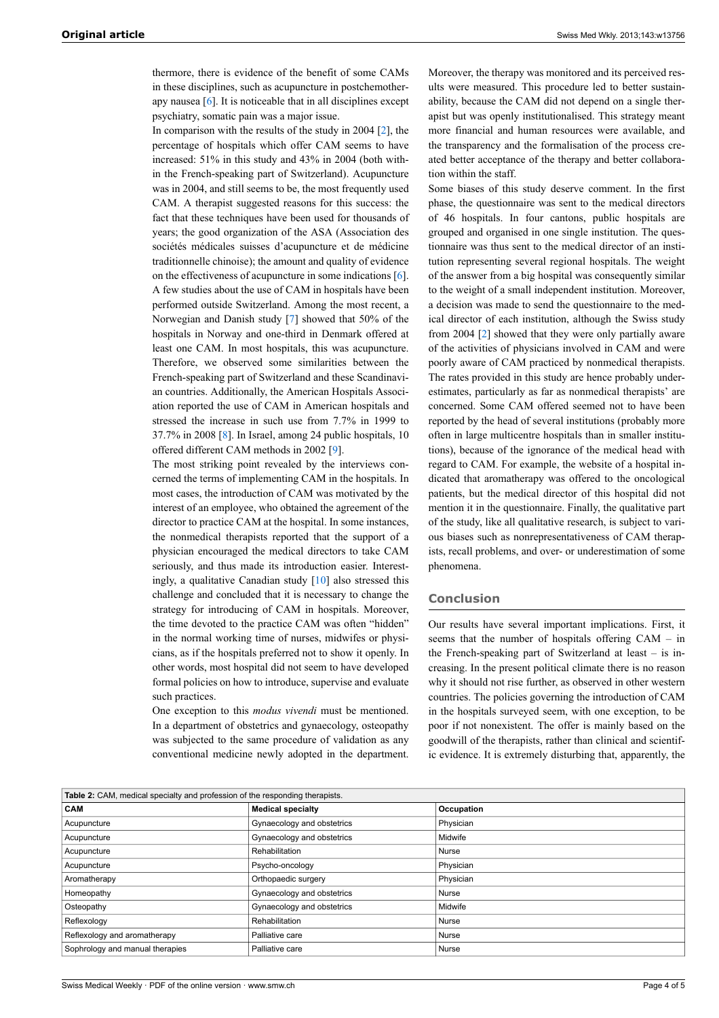thermore, there is evidence of the benefit of some CAMs in these disciplines, such as acupuncture in postchemotherapy nausea [[6](#page-4-6)]. It is noticeable that in all disciplines except psychiatry, somatic pain was a major issue.

In comparison with the results of the study in 2004 [\[2\]](#page-4-1), the percentage of hospitals which offer CAM seems to have increased: 51% in this study and 43% in 2004 (both within the French-speaking part of Switzerland). Acupuncture was in 2004, and still seems to be, the most frequently used CAM. A therapist suggested reasons for this success: the fact that these techniques have been used for thousands of years; the good organization of the ASA (Association des sociétés médicales suisses d'acupuncture et de médicine traditionnelle chinoise); the amount and quality of evidence on the effectiveness of acupuncture in some indications [[6](#page-4-6)]. A few studies about the use of CAM in hospitals have been performed outside Switzerland. Among the most recent, a Norwegian and Danish study [\[7\]](#page-4-7) showed that 50% of the hospitals in Norway and one-third in Denmark offered at least one CAM. In most hospitals, this was acupuncture. Therefore, we observed some similarities between the French-speaking part of Switzerland and these Scandinavian countries. Additionally, the American Hospitals Association reported the use of CAM in American hospitals and stressed the increase in such use from 7.7% in 1999 to 37.7% in 2008 [[8](#page-4-8)]. In Israel, among 24 public hospitals, 10 offered different CAM methods in 2002 [\[9\]](#page-4-9).

The most striking point revealed by the interviews concerned the terms of implementing CAM in the hospitals. In most cases, the introduction of CAM was motivated by the interest of an employee, who obtained the agreement of the director to practice CAM at the hospital. In some instances, the nonmedical therapists reported that the support of a physician encouraged the medical directors to take CAM seriously, and thus made its introduction easier. Interestingly, a qualitative Canadian study [[10\]](#page-4-10) also stressed this challenge and concluded that it is necessary to change the strategy for introducing of CAM in hospitals. Moreover, the time devoted to the practice CAM was often "hidden" in the normal working time of nurses, midwifes or physicians, as if the hospitals preferred not to show it openly. In other words, most hospital did not seem to have developed formal policies on how to introduce, supervise and evaluate such practices.

One exception to this *modus vivendi* must be mentioned. In a department of obstetrics and gynaecology, osteopathy was subjected to the same procedure of validation as any conventional medicine newly adopted in the department.

Moreover, the therapy was monitored and its perceived results were measured. This procedure led to better sustainability, because the CAM did not depend on a single therapist but was openly institutionalised. This strategy meant more financial and human resources were available, and the transparency and the formalisation of the process created better acceptance of the therapy and better collaboration within the staff.

Some biases of this study deserve comment. In the first phase, the questionnaire was sent to the medical directors of 46 hospitals. In four cantons, public hospitals are grouped and organised in one single institution. The questionnaire was thus sent to the medical director of an institution representing several regional hospitals. The weight of the answer from a big hospital was consequently similar to the weight of a small independent institution. Moreover, a decision was made to send the questionnaire to the medical director of each institution, although the Swiss study from 2004 [[2](#page-4-1)] showed that they were only partially aware of the activities of physicians involved in CAM and were poorly aware of CAM practiced by nonmedical therapists. The rates provided in this study are hence probably underestimates, particularly as far as nonmedical therapists' are concerned. Some CAM offered seemed not to have been reported by the head of several institutions (probably more often in large multicentre hospitals than in smaller institutions), because of the ignorance of the medical head with regard to CAM. For example, the website of a hospital indicated that aromatherapy was offered to the oncological patients, but the medical director of this hospital did not mention it in the questionnaire. Finally, the qualitative part of the study, like all qualitative research, is subject to various biases such as nonrepresentativeness of CAM therapists, recall problems, and over- or underestimation of some phenomena.

#### **Conclusion**

Our results have several important implications. First, it seems that the number of hospitals offering CAM – in the French-speaking part of Switzerland at least – is increasing. In the present political climate there is no reason why it should not rise further, as observed in other western countries. The policies governing the introduction of CAM in the hospitals surveyed seem, with one exception, to be poor if not nonexistent. The offer is mainly based on the goodwill of the therapists, rather than clinical and scientific evidence. It is extremely disturbing that, apparently, the

| Table 2: CAM, medical specialty and profession of the responding therapists. |                            |            |  |  |  |  |  |  |
|------------------------------------------------------------------------------|----------------------------|------------|--|--|--|--|--|--|
| <b>CAM</b>                                                                   | <b>Medical specialty</b>   | Occupation |  |  |  |  |  |  |
| Acupuncture                                                                  | Gynaecology and obstetrics | Physician  |  |  |  |  |  |  |
| Acupuncture                                                                  | Gynaecology and obstetrics | Midwife    |  |  |  |  |  |  |
| Acupuncture                                                                  | Rehabilitation             | Nurse      |  |  |  |  |  |  |
| Acupuncture                                                                  | Psycho-oncology            | Physician  |  |  |  |  |  |  |
| Aromatherapy                                                                 | Orthopaedic surgery        | Physician  |  |  |  |  |  |  |
| Homeopathy                                                                   | Gynaecology and obstetrics | Nurse      |  |  |  |  |  |  |
| Osteopathy                                                                   | Gynaecology and obstetrics | Midwife    |  |  |  |  |  |  |
| Reflexology                                                                  | Rehabilitation             | Nurse      |  |  |  |  |  |  |
| Reflexology and aromatherapy                                                 | Palliative care            | Nurse      |  |  |  |  |  |  |
| Sophrology and manual therapies                                              | Palliative care            | Nurse      |  |  |  |  |  |  |